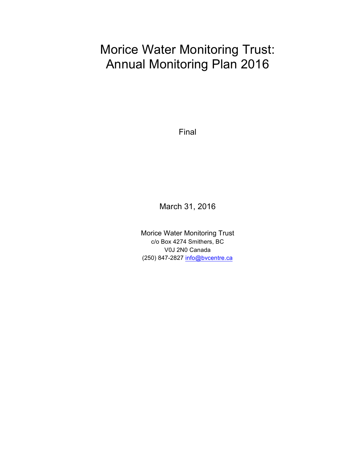# Morice Water Monitoring Trust: Annual Monitoring Plan 2016

Final

March 31, 2016

Morice Water Monitoring Trust c/o Box 4274 Smithers, BC V0J 2N0 Canada (250) 847-2827 info@bvcentre.ca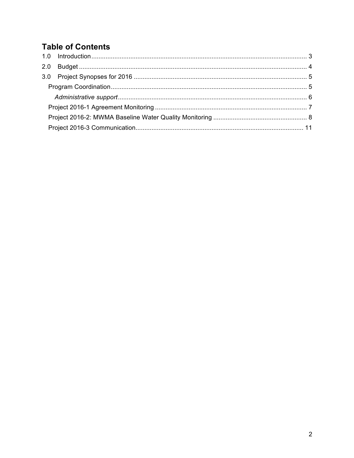## **Table of Contents**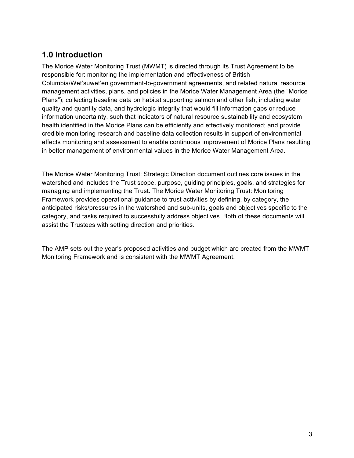### **1.0 Introduction**

The Morice Water Monitoring Trust (MWMT) is directed through its Trust Agreement to be responsible for: monitoring the implementation and effectiveness of British Columbia/Wet'suwet'en government-to-government agreements, and related natural resource management activities, plans, and policies in the Morice Water Management Area (the "Morice Plans"); collecting baseline data on habitat supporting salmon and other fish, including water quality and quantity data, and hydrologic integrity that would fill information gaps or reduce information uncertainty, such that indicators of natural resource sustainability and ecosystem health identified in the Morice Plans can be efficiently and effectively monitored; and provide credible monitoring research and baseline data collection results in support of environmental effects monitoring and assessment to enable continuous improvement of Morice Plans resulting in better management of environmental values in the Morice Water Management Area.

The Morice Water Monitoring Trust: Strategic Direction document outlines core issues in the watershed and includes the Trust scope, purpose, guiding principles, goals, and strategies for managing and implementing the Trust. The Morice Water Monitoring Trust: Monitoring Framework provides operational guidance to trust activities by defining, by category, the anticipated risks/pressures in the watershed and sub-units, goals and objectives specific to the category, and tasks required to successfully address objectives. Both of these documents will assist the Trustees with setting direction and priorities.

The AMP sets out the year's proposed activities and budget which are created from the MWMT Monitoring Framework and is consistent with the MWMT Agreement.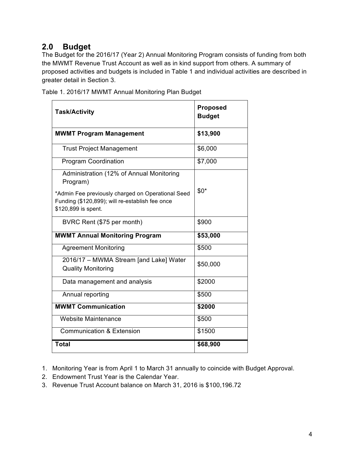### **2.0 Budget**

The Budget for the 2016/17 (Year 2) Annual Monitoring Program consists of funding from both the MWMT Revenue Trust Account as well as in kind support from others. A summary of proposed activities and budgets is included in Table 1 and individual activities are described in greater detail in Section 3.

| <b>Task/Activity</b>                                                                                                                                                                | <b>Proposed</b><br><b>Budget</b> |
|-------------------------------------------------------------------------------------------------------------------------------------------------------------------------------------|----------------------------------|
| <b>MWMT Program Management</b>                                                                                                                                                      | \$13,900                         |
| <b>Trust Project Management</b>                                                                                                                                                     | \$6,000                          |
| <b>Program Coordination</b>                                                                                                                                                         | \$7,000                          |
| Administration (12% of Annual Monitoring<br>Program)<br>*Admin Fee previously charged on Operational Seed<br>Funding (\$120,899); will re-establish fee once<br>\$120,899 is spent. | $$0*$                            |
| BVRC Rent (\$75 per month)                                                                                                                                                          | \$900                            |
| <b>MWMT Annual Monitoring Program</b>                                                                                                                                               | \$53,000                         |
| <b>Agreement Monitoring</b>                                                                                                                                                         | \$500                            |
| 2016/17 - MWMA Stream [and Lake] Water<br><b>Quality Monitoring</b>                                                                                                                 | \$50,000                         |
| Data management and analysis                                                                                                                                                        | \$2000                           |
| Annual reporting                                                                                                                                                                    | \$500                            |
| <b>MWMT Communication</b>                                                                                                                                                           | \$2000                           |
| <b>Website Maintenance</b>                                                                                                                                                          | \$500                            |
| <b>Communication &amp; Extension</b>                                                                                                                                                | \$1500                           |
| <b>Total</b>                                                                                                                                                                        | \$68,900                         |

Table 1. 2016/17 MWMT Annual Monitoring Plan Budget

- 1. Monitoring Year is from April 1 to March 31 annually to coincide with Budget Approval.
- 2. Endowment Trust Year is the Calendar Year.
- 3. Revenue Trust Account balance on March 31, 2016 is \$100,196.72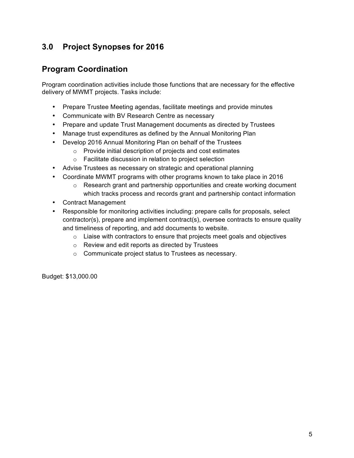### **3.0 Project Synopses for 2016**

### **Program Coordination**

Program coordination activities include those functions that are necessary for the effective delivery of MWMT projects. Tasks include:

- Prepare Trustee Meeting agendas, facilitate meetings and provide minutes
- Communicate with BV Research Centre as necessary
- Prepare and update Trust Management documents as directed by Trustees
- Manage trust expenditures as defined by the Annual Monitoring Plan
- Develop 2016 Annual Monitoring Plan on behalf of the Trustees
	- o Provide initial description of projects and cost estimates
	- o Facilitate discussion in relation to project selection
- Advise Trustees as necessary on strategic and operational planning
- Coordinate MWMT programs with other programs known to take place in 2016
	- $\circ$  Research grant and partnership opportunities and create working document which tracks process and records grant and partnership contact information
- Contract Management
- Responsible for monitoring activities including: prepare calls for proposals, select contractor(s), prepare and implement contract(s), oversee contracts to ensure quality and timeliness of reporting, and add documents to website.
	- o Liaise with contractors to ensure that projects meet goals and objectives
	- o Review and edit reports as directed by Trustees
	- o Communicate project status to Trustees as necessary.

Budget: \$13,000.00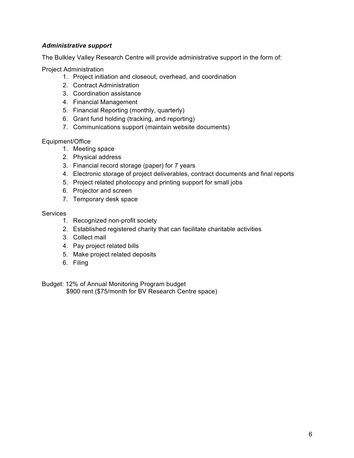#### *Administrative support*

The Bulkley Valley Research Centre will provide administrative support in the form of:

Project Administration

- 1. Project initiation and closeout, overhead, and coordination
- 2. Contract Administration
- 3. Coordination assistance
- 4. Financial Management
- 5. Financial Reporting (monthly, quarterly)
- 6. Grant fund holding (tracking, and reporting)
- 7. Communications support (maintain website documents)

#### Equipment/Office

- 1. Meeting space
- 2. Physical address
- 3. Financial record storage (paper) for 7 years
- 4. Electronic storage of project deliverables, contract documents and final reports
- 5. Project related photocopy and printing support for small jobs
- 6. Projector and screen
- 7. Temporary desk space

#### **Services**

- 1. Recognized non-profit society
- 2. Established registered charity that can facilitate charitable activities
- 3. Collect mail
- 4. Pay project related bills
- 5. Make project related deposits
- 6. Filing

Budget: 12% of Annual Monitoring Program budget \$900 rent (\$75/month for BV Research Centre space)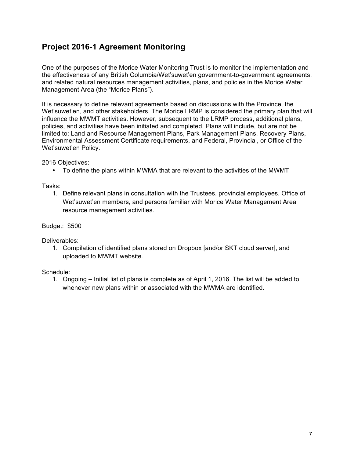### **Project 2016-1 Agreement Monitoring**

One of the purposes of the Morice Water Monitoring Trust is to monitor the implementation and the effectiveness of any British Columbia/Wet'suwet'en government-to-government agreements, and related natural resources management activities, plans, and policies in the Morice Water Management Area (the "Morice Plans").

It is necessary to define relevant agreements based on discussions with the Province, the Wet'suwet'en, and other stakeholders. The Morice LRMP is considered the primary plan that will influence the MWMT activities. However, subsequent to the LRMP process, additional plans, policies, and activities have been initiated and completed. Plans will include, but are not be limited to: Land and Resource Management Plans, Park Management Plans, Recovery Plans, Environmental Assessment Certificate requirements, and Federal, Provincial, or Office of the Wet'suwet'en Policy.

2016 Objectives:

• To define the plans within MWMA that are relevant to the activities of the MWMT

Tasks:

1. Define relevant plans in consultation with the Trustees, provincial employees, Office of Wet'suwet'en members, and persons familiar with Morice Water Management Area resource management activities.

Budget: \$500

Deliverables:

1. Compilation of identified plans stored on Dropbox [and/or SKT cloud server], and uploaded to MWMT website.

Schedule:

1. Ongoing – Initial list of plans is complete as of April 1, 2016. The list will be added to whenever new plans within or associated with the MWMA are identified.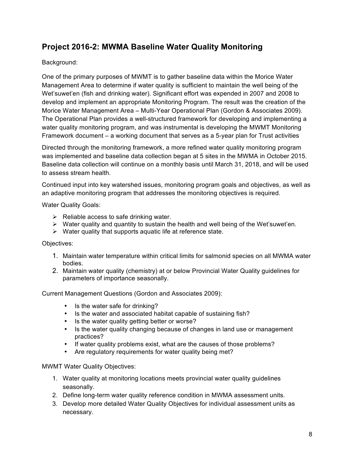### **Project 2016-2: MWMA Baseline Water Quality Monitoring**

### Background:

One of the primary purposes of MWMT is to gather baseline data within the Morice Water Management Area to determine if water quality is sufficient to maintain the well being of the Wet'suwet'en (fish and drinking water). Significant effort was expended in 2007 and 2008 to develop and implement an appropriate Monitoring Program. The result was the creation of the Morice Water Management Area – Multi-Year Operational Plan (Gordon & Associates 2009). The Operational Plan provides a well-structured framework for developing and implementing a water quality monitoring program, and was instrumental is developing the MWMT Monitoring Framework document – a working document that serves as a 5-year plan for Trust activities

Directed through the monitoring framework, a more refined water quality monitoring program was implemented and baseline data collection began at 5 sites in the MWMA in October 2015. Baseline data collection will continue on a monthly basis until March 31, 2018, and will be used to assess stream health.

Continued input into key watershed issues, monitoring program goals and objectives, as well as an adaptive monitoring program that addresses the monitoring objectives is required.

Water Quality Goals:

- $\triangleright$  Reliable access to safe drinking water.
- $\triangleright$  Water quality and quantity to sustain the health and well being of the Wet'suwet'en.
- $\triangleright$  Water quality that supports aquatic life at reference state.

### Objectives:

- 1. Maintain water temperature within critical limits for salmonid species on all MWMA water bodies.
- 2. Maintain water quality (chemistry) at or below Provincial Water Quality guidelines for parameters of importance seasonally.

Current Management Questions (Gordon and Associates 2009):

- Is the water safe for drinking?
- Is the water and associated habitat capable of sustaining fish?
- Is the water quality getting better or worse?
- Is the water quality changing because of changes in land use or management practices?
- If water quality problems exist, what are the causes of those problems?
- Are regulatory requirements for water quality being met?

#### MWMT Water Quality Objectives:

- 1. Water quality at monitoring locations meets provincial water quality guidelines seasonally.
- 2. Define long-term water quality reference condition in MWMA assessment units.
- 3. Develop more detailed Water Quality Objectives for individual assessment units as necessary.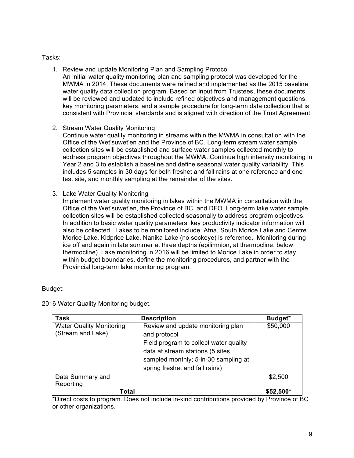#### Tasks:

- 1. Review and update Monitoring Plan and Sampling Protocol An initial water quality monitoring plan and sampling protocol was developed for the MWMA in 2014. These documents were refined and implemented as the 2015 baseline water quality data collection program. Based on input from Trustees, these documents will be reviewed and updated to include refined objectives and management questions, key monitoring parameters, and a sample procedure for long-term data collection that is consistent with Provincial standards and is aligned with direction of the Trust Agreement.
- 2. Stream Water Quality Monitoring

Continue water quality monitoring in streams within the MWMA in consultation with the Office of the Wet'suwet'en and the Province of BC. Long-term stream water sample collection sites will be established and surface water samples collected monthly to address program objectives throughout the MWMA. Continue high intensity monitoring in Year 2 and 3 to establish a baseline and define seasonal water quality variability. This includes 5 samples in 30 days for both freshet and fall rains at one reference and one test site, and monthly sampling at the remainder of the sites.

3. Lake Water Quality Monitoring

Implement water quality monitoring in lakes within the MWMA in consultation with the Office of the Wet'suwet'en, the Province of BC, and DFO. Long-term lake water sample collection sites will be established collected seasonally to address program objectives. In addition to basic water quality parameters, key productivity indicator information will also be collected. Lakes to be monitored include: Atna, South Morice Lake and Centre Morice Lake, Kidprice Lake. Nanika Lake (no sockeye) is reference. Monitoring during ice off and again in late summer at three depths (epilimnion, at thermocline, below thermocline). Lake monitoring in 2016 will be limited to Morice Lake in order to stay within budget boundaries, define the monitoring procedures, and partner with the Provincial long-term lake monitoring program.

#### Budget:

| Task                                                 | <b>Description</b>                                                                                                                                   | Budget*    |
|------------------------------------------------------|------------------------------------------------------------------------------------------------------------------------------------------------------|------------|
| <b>Water Quality Monitoring</b><br>(Stream and Lake) | Review and update monitoring plan<br>and protocol                                                                                                    | \$50,000   |
|                                                      | Field program to collect water quality<br>data at stream stations (5 sites<br>sampled monthly; 5-in-30 sampling at<br>spring freshet and fall rains) |            |
| Data Summary and<br>Reporting                        |                                                                                                                                                      | \$2,500    |
| Гоtal                                                |                                                                                                                                                      | $$52,500*$ |

2016 Water Quality Monitoring budget.

\*Direct costs to program. Does not include in-kind contributions provided by Province of BC or other organizations.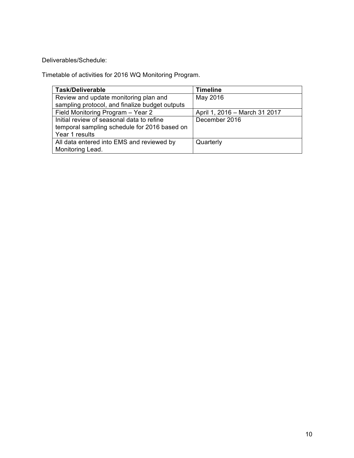Deliverables/Schedule:

Timetable of activities for 2016 WQ Monitoring Program.

| <b>Task/Deliverable</b>                        | <b>Timeline</b>               |
|------------------------------------------------|-------------------------------|
| Review and update monitoring plan and          | May 2016                      |
| sampling protocol, and finalize budget outputs |                               |
| Field Monitoring Program - Year 2              | April 1, 2016 - March 31 2017 |
| Initial review of seasonal data to refine      | December 2016                 |
| temporal sampling schedule for 2016 based on   |                               |
| Year 1 results                                 |                               |
| All data entered into EMS and reviewed by      | Quarterly                     |
| Monitoring Lead.                               |                               |